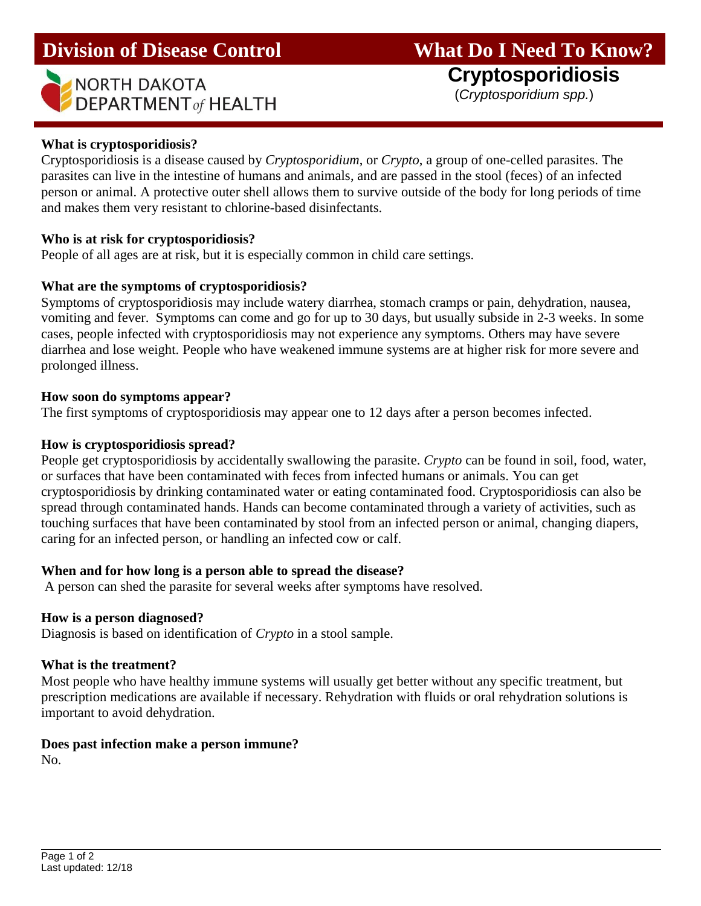| NORTH DAKOTA                               |
|--------------------------------------------|
| $\blacktriangleright$ DEPARTMENT of HEALTH |

l

# **Division of Disease Control What Do I Need To Know?**

**Cryptosporidiosis**

(*Cryptosporidium spp.*)

## **What is cryptosporidiosis?**

Cryptosporidiosis is a disease caused by *Cryptosporidium*, or *Crypto*, a group of one-celled parasites. The parasites can live in the intestine of humans and animals, and are passed in the stool (feces) of an infected person or animal. A protective outer shell allows them to survive outside of the body for long periods of time and makes them very resistant to chlorine-based disinfectants.

## **Who is at risk for cryptosporidiosis?**

People of all ages are at risk, but it is especially common in child care settings.

## **What are the symptoms of cryptosporidiosis?**

Symptoms of cryptosporidiosis may include watery diarrhea, stomach cramps or pain, dehydration, nausea, vomiting and fever. Symptoms can come and go for up to 30 days, but usually subside in 2-3 weeks. In some cases, people infected with cryptosporidiosis may not experience any symptoms. Others may have severe diarrhea and lose weight. People who have weakened immune systems are at higher risk for more severe and prolonged illness.

#### **How soon do symptoms appear?**

The first symptoms of cryptosporidiosis may appear one to 12 days after a person becomes infected.

## **How is cryptosporidiosis spread?**

People get cryptosporidiosis by accidentally swallowing the parasite. *Crypto* can be found in soil, food, water, or surfaces that have been contaminated with feces from infected humans or animals. You can get cryptosporidiosis by drinking contaminated water or eating contaminated food. Cryptosporidiosis can also be spread through contaminated hands. Hands can become contaminated through a variety of activities, such as touching surfaces that have been contaminated by stool from an infected person or animal, changing diapers, caring for an infected person, or handling an infected cow or calf.

## **When and for how long is a person able to spread the disease?**

A person can shed the parasite for several weeks after symptoms have resolved.

#### **How is a person diagnosed?**

Diagnosis is based on identification of *Crypto* in a stool sample.

#### **What is the treatment?**

Most people who have healthy immune systems will usually get better without any specific treatment, but prescription medications are available if necessary. Rehydration with fluids or oral rehydration solutions is important to avoid dehydration.

# **Does past infection make a person immune?**

No.